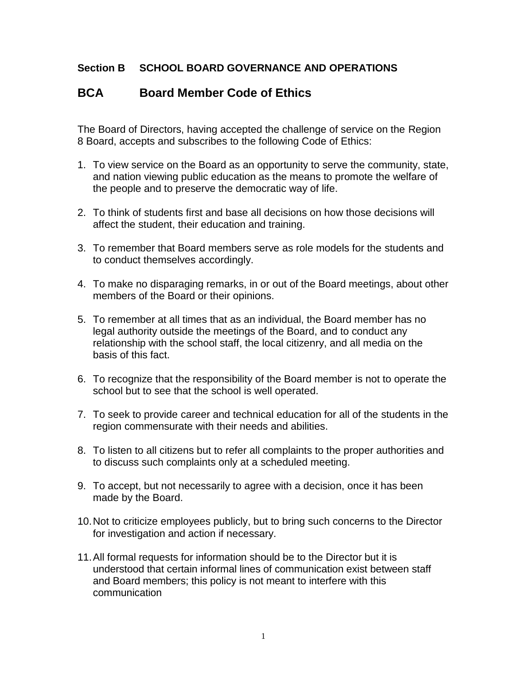## **Section B SCHOOL BOARD GOVERNANCE AND OPERATIONS**

## **BCA Board Member Code of Ethics**

The Board of Directors, having accepted the challenge of service on the Region 8 Board, accepts and subscribes to the following Code of Ethics:

- 1. To view service on the Board as an opportunity to serve the community, state, and nation viewing public education as the means to promote the welfare of the people and to preserve the democratic way of life.
- 2. To think of students first and base all decisions on how those decisions will affect the student, their education and training.
- 3. To remember that Board members serve as role models for the students and to conduct themselves accordingly.
- 4. To make no disparaging remarks, in or out of the Board meetings, about other members of the Board or their opinions.
- 5. To remember at all times that as an individual, the Board member has no legal authority outside the meetings of the Board, and to conduct any relationship with the school staff, the local citizenry, and all media on the basis of this fact.
- 6. To recognize that the responsibility of the Board member is not to operate the school but to see that the school is well operated.
- 7. To seek to provide career and technical education for all of the students in the region commensurate with their needs and abilities.
- 8. To listen to all citizens but to refer all complaints to the proper authorities and to discuss such complaints only at a scheduled meeting.
- 9. To accept, but not necessarily to agree with a decision, once it has been made by the Board.
- 10.Not to criticize employees publicly, but to bring such concerns to the Director for investigation and action if necessary.
- 11.All formal requests for information should be to the Director but it is understood that certain informal lines of communication exist between staff and Board members; this policy is not meant to interfere with this communication